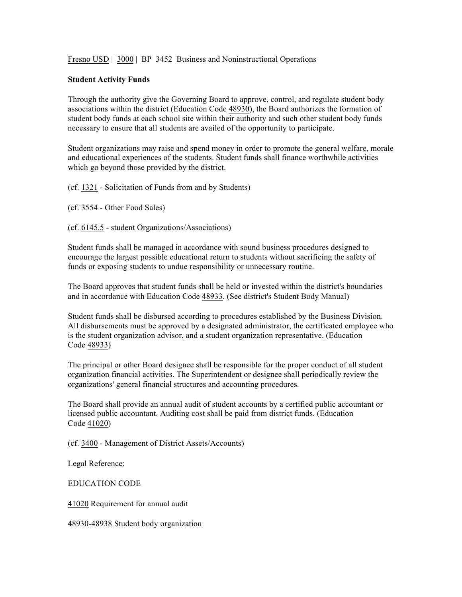Fresno USD | 3000 | BP 3452 Business and Noninstructional Operations

## **Student Activity Funds**

Through the authority give the Governing Board to approve, control, and regulate student body associations within the district (Education Code 48930), the Board authorizes the formation of student body funds at each school site within their authority and such other student body funds necessary to ensure that all students are availed of the opportunity to participate.

Student organizations may raise and spend money in order to promote the general welfare, morale and educational experiences of the students. Student funds shall finance worthwhile activities which go beyond those provided by the district.

(cf. 1321 - Solicitation of Funds from and by Students)

(cf. 3554 - Other Food Sales)

(cf. 6145.5 - student Organizations/Associations)

Student funds shall be managed in accordance with sound business procedures designed to encourage the largest possible educational return to students without sacrificing the safety of funds or exposing students to undue responsibility or unnecessary routine.

The Board approves that student funds shall be held or invested within the district's boundaries and in accordance with Education Code 48933. (See district's Student Body Manual)

Student funds shall be disbursed according to procedures established by the Business Division. All disbursements must be approved by a designated administrator, the certificated employee who is the student organization advisor, and a student organization representative. (Education Code 48933)

The principal or other Board designee shall be responsible for the proper conduct of all student organization financial activities. The Superintendent or designee shall periodically review the organizations' general financial structures and accounting procedures.

The Board shall provide an annual audit of student accounts by a certified public accountant or licensed public accountant. Auditing cost shall be paid from district funds. (Education Code 41020)

(cf. 3400 - Management of District Assets/Accounts)

Legal Reference:

EDUCATION CODE

41020 Requirement for annual audit

48930-48938 Student body organization